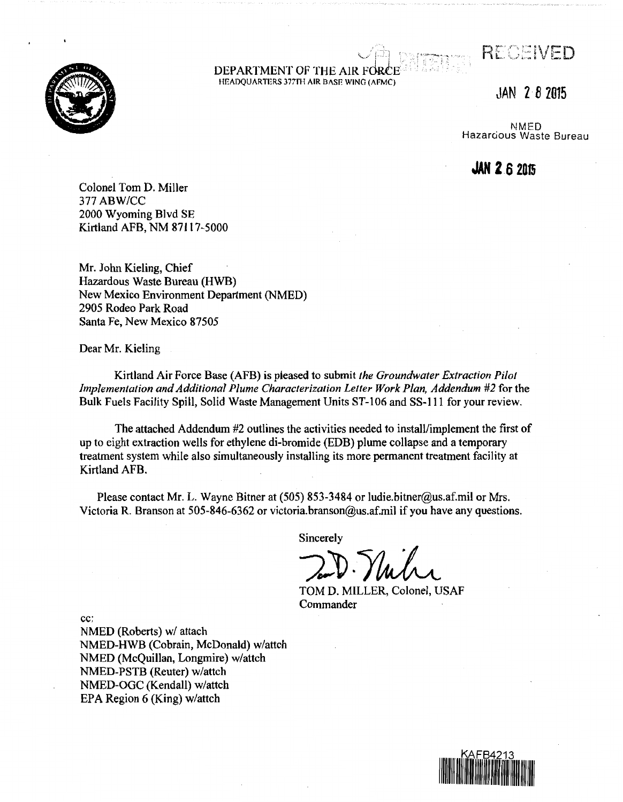$\frac{1}{\sqrt{2\pi}}$ *[· .* .. · ... ~.· - **.·'1.** *c.* / - . - ·- .. '  $\mathcal{L}$ 

#### $\sim$   $\leftrightarrow$   $\approx$ DEPARTMENT OF THE AIR FOR HEADQUARTERS 377TH AIR BASE WING (AFMC)

JAN **2** *B* **<sup>2015</sup>**

RECEIVED

NMED Hazarcous Waste Bureau

**JAN 2 6 <sup>2015</sup>**

Colonel Tom D. Miller 377 ABW/CC 2000 Wyoming Blvd SE Kirtland AFB, NM 87117-5000

Mr. John Kieling, Chief Hazardous Waste Bureau (HWB) New Mexico Environment Department (NMED) 2905 Rodeo Park Road Santa Fe, New Mexico 87505

Dear Mr. Kieling

Kirtland Air Force Base (AFB) is pleased to submit *the Groundwater Extraction Pilot Implementation and Additional Plume Characterization Letter Work Plan, Addendum #2* for the Bulk Fuels Facility Spill, Solid Waste Management Units ST-106 and SS-111 for your review.

The attached Addendum #2 outlines the activities needed to install/implement the first of up to eight extraction wells for ethylene di-bromide (EDB) plume collapse and a temporary treatment system while also simultaneously insta1ling its more permanent treatment facility at Kirtland AFB.

Please contact Mr. L. Wayne Bitner at (505) 853-3484 or ludie.bitner@us.af.mil or Mrs. Victoria R. Branson at 505-846-6362 or victoria.branson@us.af.mil if you have any questions.

Sincerely

 $\mathcal{L} \cup \mathcal{V}$ . Intri

TOM D. MILLER, Colonel, USAF Commander

cc:

NMED (Roberts) w/ attach NMED-HWB (Cobrain, McDonald) w/attch NMED (McQuillan, Longmire) w/attch NMED-PSTB (Reuter) w/attch NMED-OGC (Kendall) w/attch EPA Region 6 (King) w/attch

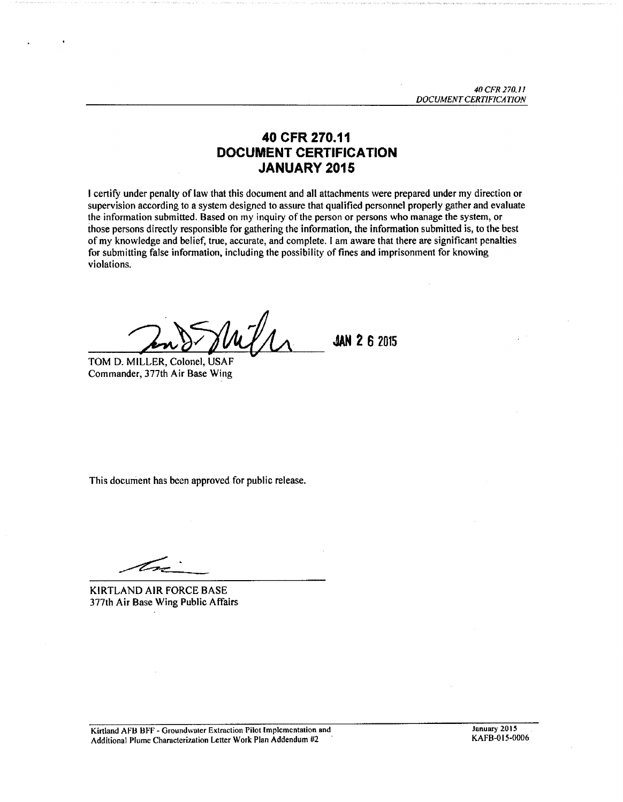$\ddot{\phantom{a}}$ 

# **40 CFR 270.11 DOCUMENT CERTIFICATION JANUARY 2015**

I certify under penalty of law that this document and all attachments were prepared under my direction or supervision according to a system designed to assure that qualified personnel properly gather and evaluate the information submitted. Based on my inquiry of the person or persons who manage the system, or those persons directly responsible for gathering the information, the information submitted is, to the best of my knowledge and belief, true, accurate, and complete. I am aware that there are significant penalties for submitting false information, including the possibility of fines and imprisonment for knowing violations.

TOM D. MILLER, Colonel, USAF Commander, 377th Air Base Wing

**JAN 2 6 2015** 

This document has been approved for public release.

 $\frac{1}{\sqrt{2\pi}}$ 

KIRTLAND AIR FORCE BASE 377th Air Base Wing Public Affairs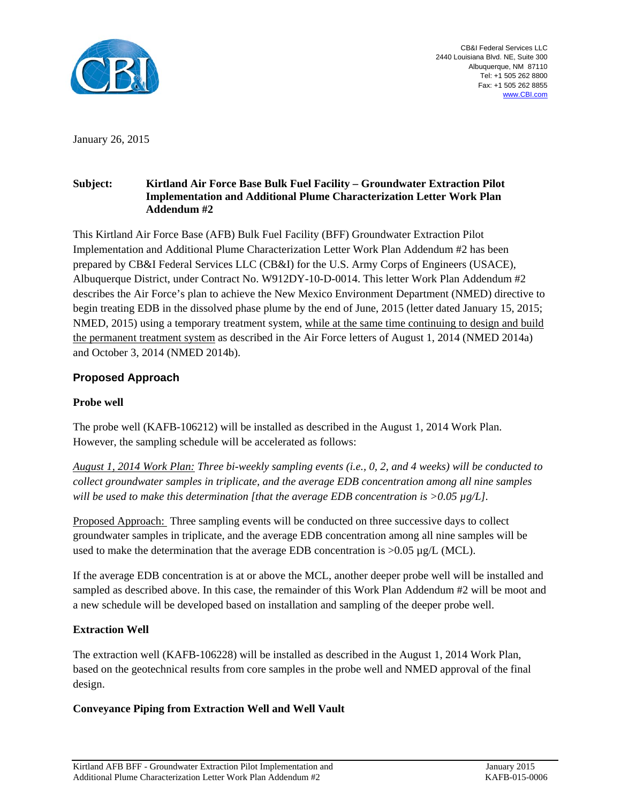

CB&I Federal Services LLC 2440 Louisiana Blvd. NE, Suite 300 Albuquerque, NM 87110 Tel: +1 505 262 8800 Fax: +1 505 262 8855 www.CBI.com

January 26, 2015

#### **Subject: Kirtland Air Force Base Bulk Fuel Facility – Groundwater Extraction Pilot Implementation and Additional Plume Characterization Letter Work Plan Addendum #2**

This Kirtland Air Force Base (AFB) Bulk Fuel Facility (BFF) Groundwater Extraction Pilot Implementation and Additional Plume Characterization Letter Work Plan Addendum #2 has been prepared by CB&I Federal Services LLC (CB&I) for the U.S. Army Corps of Engineers (USACE), Albuquerque District, under Contract No. W912DY-10-D-0014. This letter Work Plan Addendum #2 describes the Air Force's plan to achieve the New Mexico Environment Department (NMED) directive to begin treating EDB in the dissolved phase plume by the end of June, 2015 (letter dated January 15, 2015; NMED, 2015) using a temporary treatment system, while at the same time continuing to design and build the permanent treatment system as described in the Air Force letters of August 1, 2014 (NMED 2014a) and October 3, 2014 (NMED 2014b).

### **Proposed Approach**

#### **Probe well**

The probe well (KAFB-106212) will be installed as described in the August 1, 2014 Work Plan. However, the sampling schedule will be accelerated as follows:

*August 1, 2014 Work Plan: Three bi-weekly sampling events (i.e., 0, 2, and 4 weeks) will be conducted to collect groundwater samples in triplicate, and the average EDB concentration among all nine samples will be used to make this determination [that the average EDB concentration is >0.05 µg/L].* 

Proposed Approach: Three sampling events will be conducted on three successive days to collect groundwater samples in triplicate, and the average EDB concentration among all nine samples will be used to make the determination that the average EDB concentration is >0.05 µg/L (MCL).

If the average EDB concentration is at or above the MCL, another deeper probe well will be installed and sampled as described above. In this case, the remainder of this Work Plan Addendum #2 will be moot and a new schedule will be developed based on installation and sampling of the deeper probe well.

### **Extraction Well**

The extraction well (KAFB-106228) will be installed as described in the August 1, 2014 Work Plan, based on the geotechnical results from core samples in the probe well and NMED approval of the final design.

#### **Conveyance Piping from Extraction Well and Well Vault**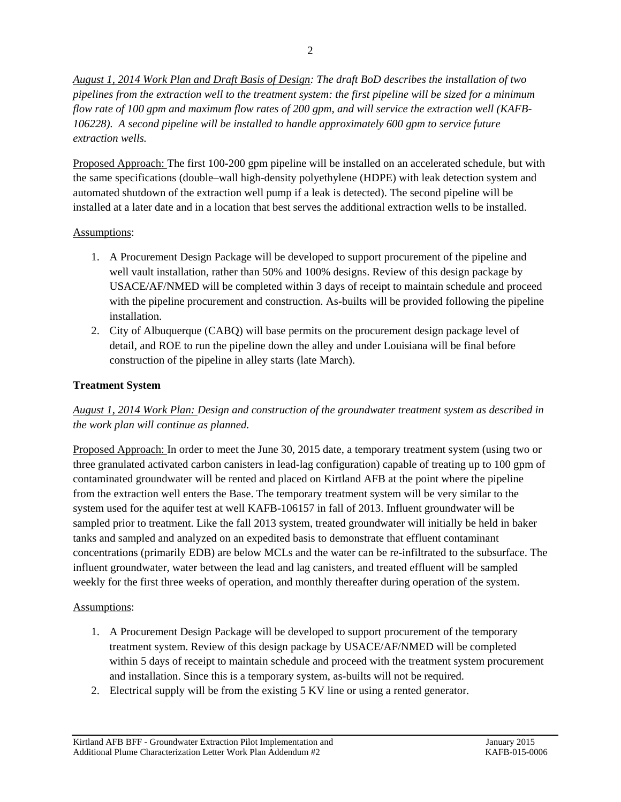*August 1, 2014 Work Plan and Draft Basis of Design: The draft BoD describes the installation of two pipelines from the extraction well to the treatment system: the first pipeline will be sized for a minimum flow rate of 100 gpm and maximum flow rates of 200 gpm, and will service the extraction well (KAFB-106228). A second pipeline will be installed to handle approximately 600 gpm to service future extraction wells.* 

Proposed Approach: The first 100-200 gpm pipeline will be installed on an accelerated schedule, but with the same specifications (double–wall high-density polyethylene (HDPE) with leak detection system and automated shutdown of the extraction well pump if a leak is detected). The second pipeline will be installed at a later date and in a location that best serves the additional extraction wells to be installed.

### Assumptions:

- 1. A Procurement Design Package will be developed to support procurement of the pipeline and well vault installation, rather than 50% and 100% designs. Review of this design package by USACE/AF/NMED will be completed within 3 days of receipt to maintain schedule and proceed with the pipeline procurement and construction. As-builts will be provided following the pipeline installation.
- 2. City of Albuquerque (CABQ) will base permits on the procurement design package level of detail, and ROE to run the pipeline down the alley and under Louisiana will be final before construction of the pipeline in alley starts (late March).

## **Treatment System**

*August 1, 2014 Work Plan: Design and construction of the groundwater treatment system as described in the work plan will continue as planned.*

Proposed Approach: In order to meet the June 30, 2015 date, a temporary treatment system (using two or three granulated activated carbon canisters in lead-lag configuration) capable of treating up to 100 gpm of contaminated groundwater will be rented and placed on Kirtland AFB at the point where the pipeline from the extraction well enters the Base. The temporary treatment system will be very similar to the system used for the aquifer test at well KAFB-106157 in fall of 2013. Influent groundwater will be sampled prior to treatment. Like the fall 2013 system, treated groundwater will initially be held in baker tanks and sampled and analyzed on an expedited basis to demonstrate that effluent contaminant concentrations (primarily EDB) are below MCLs and the water can be re-infiltrated to the subsurface. The influent groundwater, water between the lead and lag canisters, and treated effluent will be sampled weekly for the first three weeks of operation, and monthly thereafter during operation of the system.

### Assumptions:

- 1. A Procurement Design Package will be developed to support procurement of the temporary treatment system. Review of this design package by USACE/AF/NMED will be completed within 5 days of receipt to maintain schedule and proceed with the treatment system procurement and installation. Since this is a temporary system, as-builts will not be required.
- 2. Electrical supply will be from the existing 5 KV line or using a rented generator.